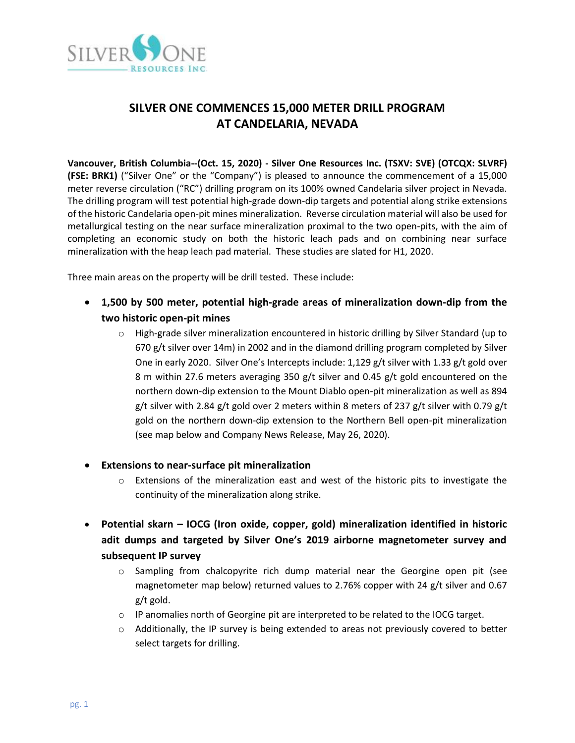

# **SILVER ONE COMMENCES 15,000 METER DRILL PROGRAM AT CANDELARIA, NEVADA**

**Vancouver, British Columbia--(Oct. 15, 2020) - Silver One Resources Inc. (TSXV: SVE) (OTCQX: SLVRF) (FSE: BRK1)** ("Silver One" or the "Company") is pleased to announce the commencement of a 15,000 meter reverse circulation ("RC") drilling program on its 100% owned Candelaria silver project in Nevada. The drilling program will test potential high-grade down-dip targets and potential along strike extensions of the historic Candelaria open-pit mines mineralization. Reverse circulation material will also be used for metallurgical testing on the near surface mineralization proximal to the two open-pits, with the aim of completing an economic study on both the historic leach pads and on combining near surface mineralization with the heap leach pad material. These studies are slated for H1, 2020.

Three main areas on the property will be drill tested. These include:

- **1,500 by 500 meter, potential high-grade areas of mineralization down-dip from the two historic open-pit mines**
	- o High-grade silver mineralization encountered in historic drilling by Silver Standard (up to 670 g/t silver over 14m) in 2002 and in the diamond drilling program completed by Silver One in early 2020. Silver One's Intercepts include: 1,129 g/t silver with 1.33 g/t gold over 8 m within 27.6 meters averaging 350 g/t silver and 0.45 g/t gold encountered on the northern down-dip extension to the Mount Diablo open-pit mineralization as well as 894 g/t silver with 2.84 g/t gold over 2 meters within 8 meters of 237 g/t silver with 0.79 g/t gold on the northern down-dip extension to the Northern Bell open-pit mineralization (see map below and Company News Release, May 26, 2020).
- **Extensions to near-surface pit mineralization**
	- $\circ$  Extensions of the mineralization east and west of the historic pits to investigate the continuity of the mineralization along strike.
- **Potential skarn – IOCG (Iron oxide, copper, gold) mineralization identified in historic adit dumps and targeted by Silver One's 2019 airborne magnetometer survey and subsequent IP survey**
	- $\circ$  Sampling from chalcopyrite rich dump material near the Georgine open pit (see magnetometer map below) returned values to 2.76% copper with 24 g/t silver and 0.67 g/t gold.
	- o IP anomalies north of Georgine pit are interpreted to be related to the IOCG target.
	- o Additionally, the IP survey is being extended to areas not previously covered to better select targets for drilling.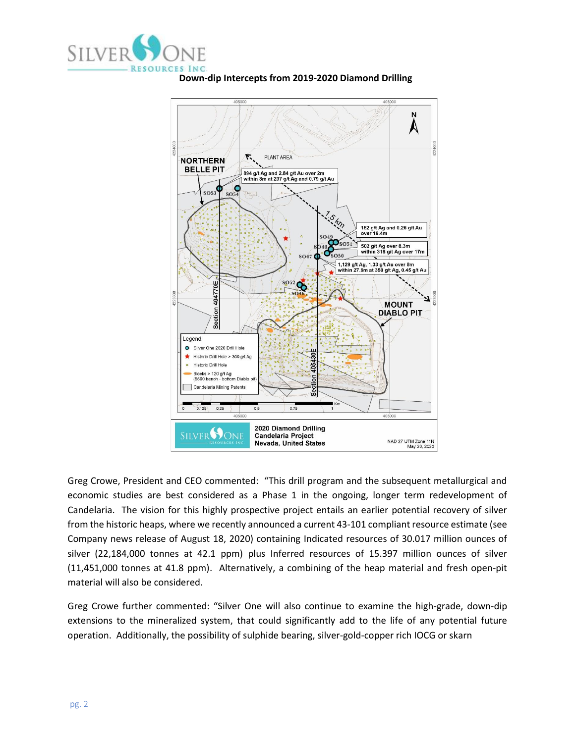





Greg Crowe, President and CEO commented: "This drill program and the subsequent metallurgical and economic studies are best considered as a Phase 1 in the ongoing, longer term redevelopment of Candelaria. The vision for this highly prospective project entails an earlier potential recovery of silver from the historic heaps, where we recently announced a current 43-101 compliant resource estimate (see Company news release of August 18, 2020) containing Indicated resources of 30.017 million ounces of silver (22,184,000 tonnes at 42.1 ppm) plus Inferred resources of 15.397 million ounces of silver (11,451,000 tonnes at 41.8 ppm). Alternatively, a combining of the heap material and fresh open-pit material will also be considered.

Greg Crowe further commented: "Silver One will also continue to examine the high-grade, down-dip extensions to the mineralized system, that could significantly add to the life of any potential future operation. Additionally, the possibility of sulphide bearing, silver-gold-copper rich IOCG or skarn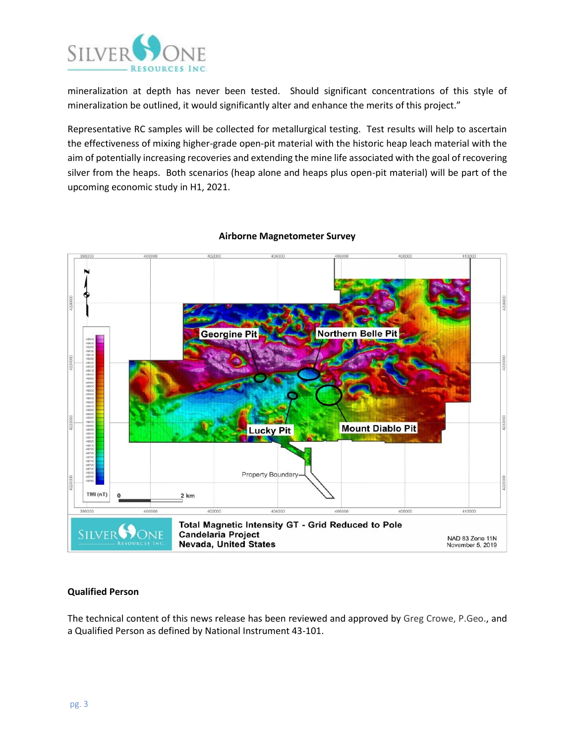

mineralization at depth has never been tested. Should significant concentrations of this style of mineralization be outlined, it would significantly alter and enhance the merits of this project."

Representative RC samples will be collected for metallurgical testing. Test results will help to ascertain the effectiveness of mixing higher-grade open-pit material with the historic heap leach material with the aim of potentially increasing recoveries and extending the mine life associated with the goal of recovering silver from the heaps. Both scenarios (heap alone and heaps plus open-pit material) will be part of the upcoming economic study in H1, 2021.



### **Airborne Magnetometer Survey**

#### **Qualified Person**

The technical content of this news release has been reviewed and approved by Greg Crowe, P.Geo., and a Qualified Person as defined by National Instrument 43-101.